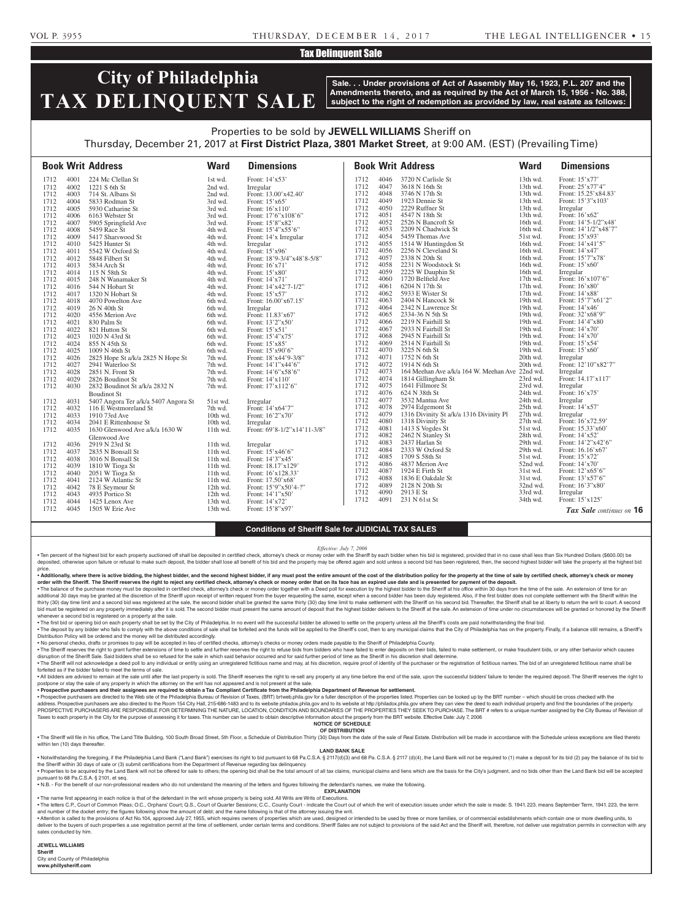### VOL P. 3955 THURSDAY, DECEMBER 14, 2017 THE LEGAL INTELLIGENCER • 1 5

## Tax Delinquent Sale

# **City of Philadelphia TAX DELINQUENT SALE**

**Sale. . . Under provisions of Act of Assembly May 16, 1923, P.L. 207 and the Amendments thereto, and as required by the Act of March 15, 1956 - No. 388, subject to the right of redemption as provided by law, real estate as follows:**

# Properties to be sold by **JEWELL WILLIAMS** Sheriff on

Thursday, December 21, 2017 at **First District Plaza, 3801 Market Street**, at 9:00 AM. (EST) (Prevailing Time)

|      |      | <b>Book Writ Address</b>             | <b>Ward</b> | <b>Dimensions</b>           |      |      | <b>Book Writ Address</b>                        | <b>Ward</b> | <b>Dimensions</b>               |
|------|------|--------------------------------------|-------------|-----------------------------|------|------|-------------------------------------------------|-------------|---------------------------------|
| 1712 | 4001 | 224 Mc Clellan St                    | 1st wd.     | Front: 14'x53'              | 1712 | 4046 | 3720 N Carlisle St                              | 13th wd.    | Front: 15'x77'                  |
| 1712 | 4002 | 1221 S 6th St                        | 2nd wd.     | Irregular                   | 1712 | 4047 | 3618 N 16th St                                  | 13th wd.    | Front: 25'x77'4"                |
| 1712 | 4003 | 714 St. Albans St                    | 2nd wd.     | Front: 13.00'x42.40'        | 1712 | 4048 | 3746 N 17th St                                  | 13th wd.    | Front: 15.25'x84.83'            |
| 1712 | 4004 | 5833 Rodman St                       | 3rd wd.     | Front: $15'x65'$            | 1712 | 4049 | 1923 Dennie St                                  | 13th wd.    | Front: 15'3"x103'               |
| 1712 | 4005 | 5930 Catharine St                    | 3rd wd.     | Front: $16'x110'$           | 1712 | 4050 | 2229 Ruffner St                                 | 13th wd.    | Irregular                       |
| 1712 | 4006 | 6163 Webster St                      | 3rd wd.     | Front: $17'6''x108'6''$     | 1712 | 4051 | 4547 N 18th St                                  | 13th wd.    | Front: 16'x62'                  |
| 1712 | 4007 | 5905 Springfield Ave                 | 3rd wd.     | Front: 15'8"x82"            | 1712 | 4052 | 2526 N Bancroft St                              | 16th wd.    | Front: 14'5-1/2"x48'            |
| 1712 | 4008 | 5459 Race St                         | 4th wd.     | Front: 15'4"x55'6"          | 1712 | 4053 | 2209 N Chadwick St                              | 16th wd.    | Front: 14'1/2"x48'7"            |
| 1712 | 4009 | 5417 Sharswood St                    | 4th wd.     | Front: 14'x Irregular       | 1712 | 4054 | 5459 Thomas Ave                                 | 51st wd.    | Front: 15'x93'                  |
| 1712 | 4010 | 5425 Hunter St                       | 4th wd.     | Irregular                   | 1712 | 4055 | 1514 W Huntingdon St                            | 16th wd.    | Front: 14'x41'5"                |
| 1712 | 4011 | 5542 W Oxford St                     | 4th wd.     | Front: 15'x96'              | 1712 | 4056 | 2256 N Cleveland St                             | 16th wd.    | Front: 14'x47'                  |
| 1712 | 4012 | 5848 Filbert St                      | 4th wd.     | Front: 18'9-3/4"x48'8-5/8"  | 1712 | 4057 | 2338 N 20th St                                  | 16th wd.    | Front: 15'7"x78'                |
| 1712 | 4013 | 5834 Arch St                         | 4th wd.     | Front: 16'x71'              | 1712 | 4058 | 2231 N Woodstock St                             | 16th wd.    | Front: 15'x60'                  |
| 1712 | 4014 | 115 N 58th St                        | 4th wd.     | Front: 15'x80'              | 1712 | 4059 | 2225 W Dauphin St                               | 16th wd.    | Irregular                       |
| 1712 | 4015 | 248 N Wanamaker St                   | 4th wd.     | Front: 14'x71'              | 1712 | 4060 | 1720 Belfield Ave                               | $17th$ wd.  | Front: 16'x107'6"               |
| 1712 | 4016 | 544 N Hobart St                      | 4th wd.     | Front: $14'x42'7-1/2"$      | 1712 | 4061 | 6204 N 17th St                                  | $17th$ wd.  | Front: 16'x80'                  |
| 1712 | 4017 | 1320 N Hobart St                     | 4th wd.     | Front: 15'x57'              | 1712 | 4062 | 5933 E Wister St                                | 17th wd.    | Front: 14'x88'                  |
| 1712 | 4018 | 4070 Powelton Ave                    | 6th wd.     | Front: 16.00'x67.15'        | 1712 | 4063 | 2404 N Hancock St                               | 19th wd.    | Front: 15'7"x61'2"              |
| 1712 | 4019 | 26 N 40th St                         | 6th wd.     | Irregular                   | 1712 | 4064 | 2342 N Lawrence St                              | 19th wd.    | Front: 14'x46'                  |
| 1712 | 4020 | 4556 Merion Ave                      | 6th wd.     | Front: 11.83'x67'           | 1712 | 4065 | 2334-36 N 5th St                                | 19th wd.    | Front: 32'x68'9"                |
| 1712 | 4021 | 830 Palm St                          | 6th wd.     | Front: 13'2"x50'            | 1712 | 4066 | 2219 N Fairhill St                              | 19th wd.    | Front: 14'4"x80                 |
| 1712 | 4022 | 821 Hutton St                        | 6th wd.     | Front: $15'x51'$            | 1712 | 4067 | 2933 N Fairhill St                              | 19th wd.    | Front: 14'x70'                  |
| 1712 | 4023 | 1020 N 43rd St                       | 6th wd.     | Front: 15'4"x75'            | 1712 | 4068 | 2945 N Fairhill St                              | 19th wd.    | Front: 14'x70'                  |
| 1712 | 4024 | 855 N 45th St                        | 6th wd.     | Front: 15'x85'              | 1712 | 4069 | 2514 N Fairhill St                              | 19th wd.    | Front: 15'x54'                  |
| 1712 | 4025 | 1009 N 46th St                       | 6th wd.     | Front: 15'x90'6"            | 1712 | 4070 | 3225 N 6th St                                   | 19th wd.    | Front: 15'x60'                  |
| 1712 | 4026 | 2825 Hope St a/k/a 2825 N Hope St    | 7th wd.     | Front: 18'x44'9-3/8"        | 1712 | 4071 | 1752 N 6th St                                   | 20th wd.    | Irregular                       |
| 1712 | 4027 | 2941 Waterloo St                     | 7th wd.     | Front: 14'1"x44'6"          | 1712 | 4072 | 1914 N 6th St                                   | 20th wd.    | Front: 12'10"x82'7"             |
| 1712 | 4028 | 2851 N. Front St                     | 7th wd.     | Front: 14'6"x58'6"          | 1712 | 4073 | 164 Meehan Ave a/k/a 164 W. Meehan Ave 22nd wd. |             | Irregular                       |
| 1712 | 4029 | 2826 Boudinot St                     | 7th wd.     | Front: 14'x110'             | 1712 | 4074 | 1814 Gillingham St                              | 23rd wd.    | Front: 14.17'x117'              |
| 1712 | 4030 | 2832 Boudinot St a/k/a 2832 N        | 7th wd.     | Front: 17'x112'6"           | 1712 | 4075 | 1641 Fillmore St                                | 23rd wd.    | Irregular                       |
|      |      | <b>Boudinot St</b>                   |             |                             | 1712 | 4076 | 624 N 38th St                                   | 24th wd.    | Front: 16'x75'                  |
| 1712 | 4031 | 5407 Angora Ter a/k/a 5407 Angora St | 51st wd.    | Irregular                   | 1712 | 4077 | 3532 Mantua Ave                                 | 24th wd.    | Irregular                       |
| 1712 | 4032 | 116 E Westmoreland St                | 7th wd.     | Front: 14'x64'7"            | 1712 | 4078 | 2974 Edgemont St                                | 25th wd.    | Front: 14'x57'                  |
| 1712 | 4033 | 1910 73rd Ave                        | 10th wd.    | Front: 16'2"x70'            | 1712 | 4079 | 1316 Divinity St a/k/a 1316 Divinity Pl         | 27th wd.    | Irregular                       |
| 1712 | 4034 | 2041 E Rittenhouse St                | 10th wd.    | Irregular                   | 1712 | 4080 | 1318 Divinity St                                | 27th wd.    | Front: 16'x72.59'               |
| 1712 | 4035 | 1630 Glenwood Ave a/k/a 1630 W       | 11th wd.    | Front: 69'8-1/2"x14'11-3/8" | 1712 | 4081 | 1413 S Vogdes St                                | 51st wd.    | Front: 15.33'x60'               |
|      |      | Glenwood Ave                         |             |                             | 1712 | 4082 | 2462 N Stanley St                               | 28th wd.    | Front: 14'x52'                  |
| 1712 | 4036 | 2919 N 23rd St                       | $11th$ wd.  | Irregular                   | 1712 | 4083 | 2437 Harlan St                                  | 29th wd.    | Front: 14'2"x42'6"              |
| 1712 | 4037 | 2835 N Bonsall St                    | $11th$ wd.  | Front: 15'x46'6"            | 1712 | 4084 | 2333 W Oxford St                                | 29th wd.    | Front: 16.16'x67'               |
| 1712 | 4038 | 3016 N Bonsall St                    | 11th wd.    | Front: 14'3"x45'            | 1712 | 4085 | 1709 S 58th St                                  | 51st wd.    | Front: 15'x72'                  |
| 1712 | 4039 | 1810 W Tioga St                      | $11th$ wd.  | Front: 18.17'x129'          | 1712 | 4086 | 4837 Merion Ave                                 | 52nd wd.    | Front: 14'x70'                  |
| 1712 | 4040 | 2051 W Tioga St                      | 11th wd.    | Front: 16'x128.33'          | 1712 | 4087 | 1924 E Firth St                                 | 31st wd.    | Front: $12^\prime x65^\prime 6$ |
| 1712 | 4041 | 2124 W Atlantic St                   | $11th$ wd.  | Front: 17.50'x68'           | 1712 | 4088 | 1836 E Oakdale St                               | 31st wd.    | Front: 13'x57'6"                |
| 1712 | 4042 | 78 E Seymour St                      | 12th wd.    | Front: 15'9"x50'4-?"        | 1712 | 4089 | 2128 N 20th St                                  | 32nd wd.    | Front: 16'3"x80'                |
| 1712 | 4043 | 4935 Portico St                      | 12th wd.    | Front: 14'1"x50'            | 1712 | 4090 | 2913 E St                                       | 33rd wd.    | Irregular                       |
| 1712 | 4044 | 1425 Lenox Ave                       | 13th wd.    | Front: 14'x72'              | 1712 | 4091 | 231 N 61st St                                   | 34th wd.    | Front: 15'x125'                 |
| 1712 | 4045 | 1505 W Erie Ave                      | 13th wd.    | Front: 15'8"x97'            |      |      |                                                 |             | Tax Sale continues on 16        |

#### **Conditions of Sheriff Sale for JUDICIAL TAX SALES**

*Effective: July 7, 2006*

. Ten percent of the highest bid for each property auctioned off shall be deposited in certified check, attorney's check or money order with the Sheriff by each bidder when his bid is registered, provided that in no case s deposited, otherwise upon failure or refusal to make such deposit, the bidder shall lose all benefit of his bid and the property may be offered again and sold unless a second bid has been registered, then, the second highe price.

. Additionally, where there is active bidding, the highest bidder, and the second highest bidder, if any must post the entire amount of the cost of the distribution policy for the property at the time of sale by certified **order with the Sheriff. The Sheriff reserves the right to reject any certified check, attorney's check or money order that on its face has an expired use date and is presented for payment of the deposit.**

. The balance of the purchase money must be deposited in certified check, attorney's check or money order together with a Deed poll for execution by the highest bidder to the Sheriff at his office within 30 days from the t additional 30 days may be granted at the discretion of the Sheriff upon receipt of written request from the buyer requesting the same, except when a second bidder has been duly registered. Also, if the first bidder does no thirty (30) day time limit and a second bid was registered at the sale, the second bidder shall be granted the same thirty (30) day time limit to make settlement with the Sheriff on his second bid. Thereafter, the Sheriff bid must be registered on any property immediately after it is sold. The second bidder must present the same amount of deposit that the highest bidder delivers to the Sheriff at the sale. An extension of time under no circ whenever a second bid is registered on a property at the sale.

. The first bid or opening bid on each property shall be set by the City of Philadelphia. In no event will the successful bidder be allowed to settle on the property unless all the Sheriff's costs are paid notwithstanding . The deposit by any bidder who fails to comply with the above conditions of sale shall be forfeited and the funds will be applied to the Sheriff's cost, then to any municipal claims that the City of Philadelphia has on th Distribution Policy will be ordered and the money will be distributed accordingly.

• No personal checks, drafts or promises to pay will be accepted in lieu of certified checks, attorney's checks or money orders made payable to the Sheriff of Philadelphia County.

. The Sheriff reserves the right to grant further extensions of time to settle and further reserves the right to refuse bids from bidders who have failed to enter deposits on their bids, failed to make settlement, or make disruption of the Sheriff Sale. Said bidders shall be so refused for the sale in which said behavior occurred and for said further period of time as the Sheriff in his discretion shall determine.

. The Sheriff will not acknowledge a deed poll to any individual or entity using an unregistered fictitious name and may, at his discretion, require proof of identity of the purchaser or the registration of fictitious name forfeited as if the bidder failed to meet the terms of sale.

. All bidders are advised to remain at the sale until after the last property is sold. The Sheriff reserves the right to re-sell any property at any time before the end of the sale, upon the successful bidders' failure to postpone or stay the sale of any property in which the attorney on the writ has not appeared and is not present at the sale.

• **Prospective purchasers and their assignees are required to obtain a Tax Compliant Certificate from the Philadelphia Department of Revenue for settlement.**

• Prospective purchasers are directed to the Web site of the Philadelphia Bureau of Revision of Taxes, (BRT) brtweb.phila.gov for a fuller description of the properties listed. Properties can be looked up by the BRT number PROSPECTIVE PURCHASERS ARE RESPONSIBLE FOR DETERMINING THE NATURE, LOCATION, CONDITION AND BOUNDARIES OF THE PROPERTIES THEY SEEK TO PURCHASE. The BRT # refers to a unique number assigned by the City Bureau of Revision of Taxes to each property in the City for the purpose of assessing it for taxes. This number can be used to obtain descriptive information about the property from the BRT website. Effective Date: July 7, 2006

#### **NOTICE OF SCHEDULE OF DISTRIBUTION**

. The Sheriff will file in his office, The Land Title Building, 100 South Broad Street, 5th Floor, a Schedule of Distribution Thirty (30) Days from the date of the sale of Real Estate. Distribution will be made in accordan within ten (10) days thereafter.

#### **LAND BANK SALE**

. Notwithstanding the foregoing, if the Philadelphia Land Bank ("Land Bank") exercises its right to bid pursuant to 68 Pa.C.S.A. § 2117(d)(3) and 68 Pa.C.S.A. § 2117 (d)(4), the Land Bank will not be required to (1) make a the Sheriff within 30 days of sale or (3) submit certifications from the Department of Revenue regarding tax delinqu

. Properties to be acquired by the Land Bank will not be offered for sale to others; the opening bid shall be the total amount of all tax claims, municipal claims and liens which are the basis for the City's judgment, and pursuant to 68 Pa.C.S.A. § 2101, et seq.

• N.B. - For the benefit of our non-professional readers who do not understand the meaning of the letters and figures following the defendant's names, we make the following. **EXPLANATION** 

• The name first appearing in each notice is that of the defendant in the writ whose property is being sold. All Writs are Writs of Executions.

. The letters C.P., Court of Common Pleas; O.C., Orphans' Court; Q.S., Court of Quarter Sessions; C.C., County Court - indicate the Court out of which the writ of execution issues under which the sale is made: S. 1941. 223 and number of the docket entry; the figures following show the amount of debt; and the name following is that of the attorney issuing the writ.

. Attention is called to the provisions of Act No.104, approved July 27, 1955, which requires owners of properties which are used, designed or intended to be used by three or more families, or of commercial establishments deliver to the buyers of such properties a use registration permit at the time of settlement, under certain terms and conditions. Sheriff Sales are not subject to provisions of the said Act and the Sheriff will, therefore, sales conducted by him.

**JEWELL WILLIAMS** 

**Sheriff**  City and County of Philadelphia

**www.phillysheriff.com**